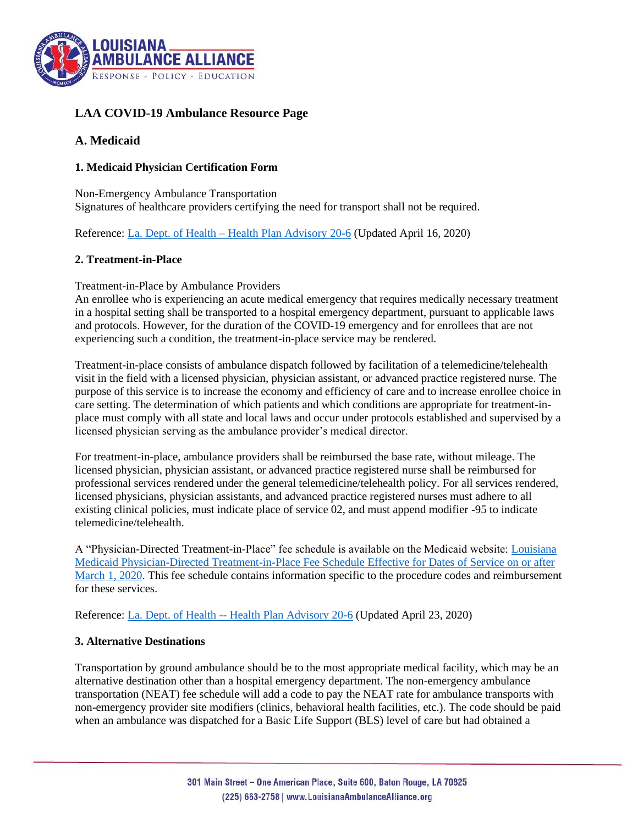

# **LAA COVID-19 Ambulance Resource Page**

# **A. Medicaid**

#### **1. Medicaid Physician Certification Form**

Non-Emergency Ambulance Transportation Signatures of healthcare providers certifying the need for transport shall not be required.

Reference: La. Dept. of Health – [Health Plan Advisory 20-6](http://ldh.la.gov/assets/docs/BayouHealth/HealthPlanAdvisories/2020/HPA20-6_Revised_4.16.20.pdf) (Updated April 16, 2020)

## **2. Treatment-in-Place**

#### Treatment-in-Place by Ambulance Providers

An enrollee who is experiencing an acute medical emergency that requires medically necessary treatment in a hospital setting shall be transported to a hospital emergency department, pursuant to applicable laws and protocols. However, for the duration of the COVID-19 emergency and for enrollees that are not experiencing such a condition, the treatment-in-place service may be rendered.

Treatment-in-place consists of ambulance dispatch followed by facilitation of a telemedicine/telehealth visit in the field with a licensed physician, physician assistant, or advanced practice registered nurse. The purpose of this service is to increase the economy and efficiency of care and to increase enrollee choice in care setting. The determination of which patients and which conditions are appropriate for treatment-inplace must comply with all state and local laws and occur under protocols established and supervised by a licensed physician serving as the ambulance provider's medical director.

For treatment-in-place, ambulance providers shall be reimbursed the base rate, without mileage. The licensed physician, physician assistant, or advanced practice registered nurse shall be reimbursed for professional services rendered under the general telemedicine/telehealth policy. For all services rendered, licensed physicians, physician assistants, and advanced practice registered nurses must adhere to all existing clinical policies, must indicate place of service 02, and must append modifier -95 to indicate telemedicine/telehealth.

A "Physician-Directed Treatment-in-Place" fee schedule is available on the Medicaid website: [Louisiana](https://www.lamedicaid.com/provweb1/fee_schedules/Treat_In_Place_Fee.pdf)  [Medicaid Physician-Directed Treatment-in-Place Fee Schedule Effective for Dates of Service on or after](https://www.lamedicaid.com/provweb1/fee_schedules/Treat_In_Place_Fee.pdf)  [March 1, 2020.](https://www.lamedicaid.com/provweb1/fee_schedules/Treat_In_Place_Fee.pdf) This fee schedule contains information specific to the procedure codes and reimbursement for these services.

Reference: La. Dept. of Health -- [Health Plan Advisory 20-6](http://ldh.la.gov/assets/docs/BayouHealth/HealthPlanAdvisories/2020/HPA20-6_Revised_4.23.20.pdf) (Updated April 23, 2020)

## **3. Alternative Destinations**

Transportation by ground ambulance should be to the most appropriate medical facility, which may be an alternative destination other than a hospital emergency department. The non-emergency ambulance transportation (NEAT) fee schedule will add a code to pay the NEAT rate for ambulance transports with non-emergency provider site modifiers (clinics, behavioral health facilities, etc.). The code should be paid when an ambulance was dispatched for a Basic Life Support (BLS) level of care but had obtained a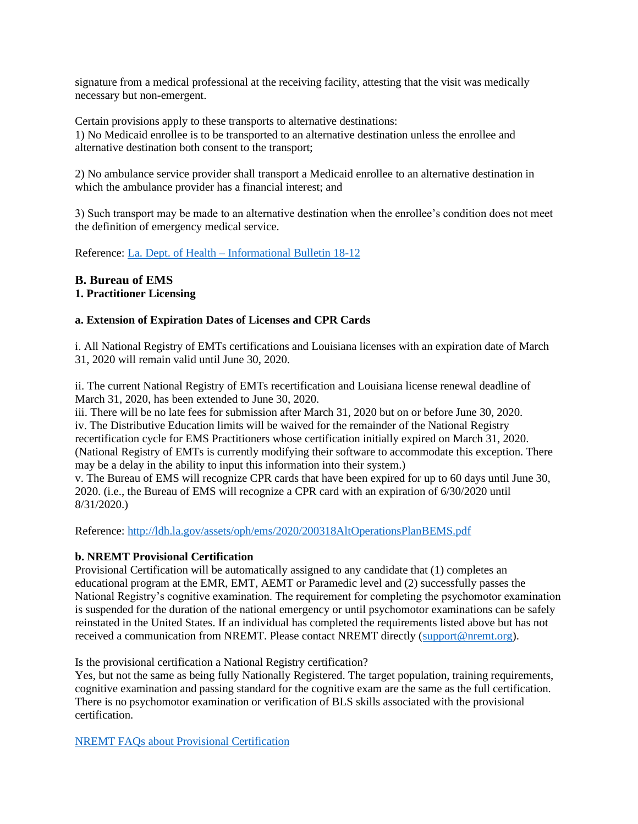signature from a medical professional at the receiving facility, attesting that the visit was medically necessary but non-emergent.

Certain provisions apply to these transports to alternative destinations: 1) No Medicaid enrollee is to be transported to an alternative destination unless the enrollee and alternative destination both consent to the transport;

2) No ambulance service provider shall transport a Medicaid enrollee to an alternative destination in which the ambulance provider has a financial interest; and

3) Such transport may be made to an alternative destination when the enrollee's condition does not meet the definition of emergency medical service.

Reference: La. Dept. of Health – [Informational Bulletin 18-12](http://ldh.la.gov/assets/docs/BayouHealth/Informational_Bulletins/2018/IB18-12.pdf)

# **B. Bureau of EMS**

# **1. Practitioner Licensing**

#### **a. Extension of Expiration Dates of Licenses and CPR Cards**

i. All National Registry of EMTs certifications and Louisiana licenses with an expiration date of March 31, 2020 will remain valid until June 30, 2020.

ii. The current National Registry of EMTs recertification and Louisiana license renewal deadline of March 31, 2020, has been extended to June 30, 2020.

iii. There will be no late fees for submission after March 31, 2020 but on or before June 30, 2020. iv. The Distributive Education limits will be waived for the remainder of the National Registry recertification cycle for EMS Practitioners whose certification initially expired on March 31, 2020. (National Registry of EMTs is currently modifying their software to accommodate this exception. There may be a delay in the ability to input this information into their system.)

v. The Bureau of EMS will recognize CPR cards that have been expired for up to 60 days until June 30, 2020. (i.e., the Bureau of EMS will recognize a CPR card with an expiration of 6/30/2020 until 8/31/2020.)

Reference:<http://ldh.la.gov/assets/oph/ems/2020/200318AltOperationsPlanBEMS.pdf>

#### **b. NREMT Provisional Certification**

Provisional Certification will be automatically assigned to any candidate that (1) completes an educational program at the EMR, EMT, AEMT or Paramedic level and (2) successfully passes the National Registry's cognitive examination. The requirement for completing the psychomotor examination is suspended for the duration of the national emergency or until psychomotor examinations can be safely reinstated in the United States. If an individual has completed the requirements listed above but has not received a communication from NREMT. Please contact NREMT directly [\(support@nremt.org\)](mailto:support@nremt.org).

Is the provisional certification a National Registry certification?

Yes, but not the same as being fully Nationally Registered. The target population, training requirements, cognitive examination and passing standard for the cognitive exam are the same as the full certification. There is no psychomotor examination or verification of BLS skills associated with the provisional certification.

[NREMT FAQs about Provisional Certification](https://www.nremt.org/rwd/public/document/covid-19)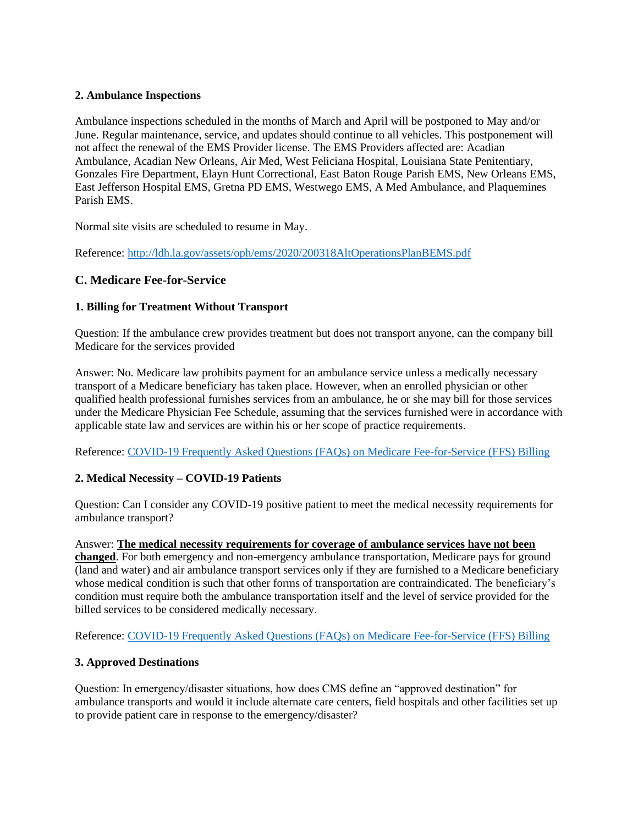#### **2. Ambulance Inspections**

Ambulance inspections scheduled in the months of March and April will be postponed to May and/or June. Regular maintenance, service, and updates should continue to all vehicles. This postponement will not affect the renewal of the EMS Provider license. The EMS Providers affected are: Acadian Ambulance, Acadian New Orleans, Air Med, West Feliciana Hospital, Louisiana State Penitentiary, Gonzales Fire Department, Elayn Hunt Correctional, East Baton Rouge Parish EMS, New Orleans EMS, East Jefferson Hospital EMS, Gretna PD EMS, Westwego EMS, A Med Ambulance, and Plaquemines Parish EMS.

Normal site visits are scheduled to resume in May.

Reference:<http://ldh.la.gov/assets/oph/ems/2020/200318AltOperationsPlanBEMS.pdf>

## **C. Medicare Fee-for-Service**

#### **1. Billing for Treatment Without Transport**

Question: If the ambulance crew provides treatment but does not transport anyone, can the company bill Medicare for the services provided

Answer: No. Medicare law prohibits payment for an ambulance service unless a medically necessary transport of a Medicare beneficiary has taken place. However, when an enrolled physician or other qualified health professional furnishes services from an ambulance, he or she may bill for those services under the Medicare Physician Fee Schedule, assuming that the services furnished were in accordance with applicable state law and services are within his or her scope of practice requirements.

Reference: [COVID-19 Frequently Asked Questions \(FAQs\) on Medicare Fee-for-Service \(FFS\) Billing](https://www.cms.gov/files/document/03092020-covid-19-faqs-508.pdf?utm_source=PWW&utm_campaign=774bc79d2d-EMAIL_CAMPAIGN_2017_12_05_COPY_01&utm_medium=email&utm_term=0_8e5d81ee7c-774bc79d2d-92376297)

#### **2. Medical Necessity – COVID-19 Patients**

Question: Can I consider any COVID-19 positive patient to meet the medical necessity requirements for ambulance transport?

Answer: **The medical necessity requirements for coverage of ambulance services have not been changed**. For both emergency and non-emergency ambulance transportation, Medicare pays for ground (land and water) and air ambulance transport services only if they are furnished to a Medicare beneficiary whose medical condition is such that other forms of transportation are contraindicated. The beneficiary's condition must require both the ambulance transportation itself and the level of service provided for the billed services to be considered medically necessary.

Reference: [COVID-19 Frequently Asked Questions \(FAQs\) on Medicare Fee-for-Service \(FFS\) Billing](https://www.cms.gov/files/document/03092020-covid-19-faqs-508.pdf?utm_source=PWW&utm_campaign=774bc79d2d-EMAIL_CAMPAIGN_2017_12_05_COPY_01&utm_medium=email&utm_term=0_8e5d81ee7c-774bc79d2d-92376297)

#### **3. Approved Destinations**

Question: In emergency/disaster situations, how does CMS define an "approved destination" for ambulance transports and would it include alternate care centers, field hospitals and other facilities set up to provide patient care in response to the emergency/disaster?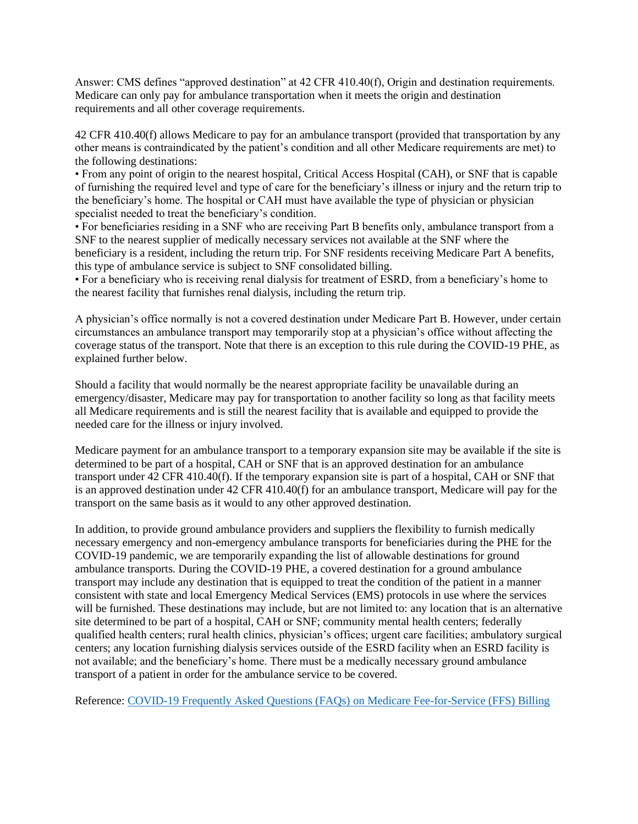Answer: CMS defines "approved destination" at 42 CFR 410.40(f), Origin and destination requirements. Medicare can only pay for ambulance transportation when it meets the origin and destination requirements and all other coverage requirements.

42 CFR 410.40(f) allows Medicare to pay for an ambulance transport (provided that transportation by any other means is contraindicated by the patient's condition and all other Medicare requirements are met) to the following destinations:

• From any point of origin to the nearest hospital, Critical Access Hospital (CAH), or SNF that is capable of furnishing the required level and type of care for the beneficiary's illness or injury and the return trip to the beneficiary's home. The hospital or CAH must have available the type of physician or physician specialist needed to treat the beneficiary's condition.

• For beneficiaries residing in a SNF who are receiving Part B benefits only, ambulance transport from a SNF to the nearest supplier of medically necessary services not available at the SNF where the beneficiary is a resident, including the return trip. For SNF residents receiving Medicare Part A benefits, this type of ambulance service is subject to SNF consolidated billing.

• For a beneficiary who is receiving renal dialysis for treatment of ESRD, from a beneficiary's home to the nearest facility that furnishes renal dialysis, including the return trip.

A physician's office normally is not a covered destination under Medicare Part B. However, under certain circumstances an ambulance transport may temporarily stop at a physician's office without affecting the coverage status of the transport. Note that there is an exception to this rule during the COVID-19 PHE, as explained further below.

Should a facility that would normally be the nearest appropriate facility be unavailable during an emergency/disaster, Medicare may pay for transportation to another facility so long as that facility meets all Medicare requirements and is still the nearest facility that is available and equipped to provide the needed care for the illness or injury involved.

Medicare payment for an ambulance transport to a temporary expansion site may be available if the site is determined to be part of a hospital, CAH or SNF that is an approved destination for an ambulance transport under 42 CFR 410.40(f). If the temporary expansion site is part of a hospital, CAH or SNF that is an approved destination under 42 CFR 410.40(f) for an ambulance transport, Medicare will pay for the transport on the same basis as it would to any other approved destination.

In addition, to provide ground ambulance providers and suppliers the flexibility to furnish medically necessary emergency and non-emergency ambulance transports for beneficiaries during the PHE for the COVID-19 pandemic, we are temporarily expanding the list of allowable destinations for ground ambulance transports. During the COVID-19 PHE, a covered destination for a ground ambulance transport may include any destination that is equipped to treat the condition of the patient in a manner consistent with state and local Emergency Medical Services (EMS) protocols in use where the services will be furnished. These destinations may include, but are not limited to: any location that is an alternative site determined to be part of a hospital, CAH or SNF; community mental health centers; federally qualified health centers; rural health clinics, physician's offices; urgent care facilities; ambulatory surgical centers; any location furnishing dialysis services outside of the ESRD facility when an ESRD facility is not available; and the beneficiary's home. There must be a medically necessary ground ambulance transport of a patient in order for the ambulance service to be covered.

Reference: [COVID-19 Frequently Asked Questions \(FAQs\) on Medicare Fee-for-Service \(FFS\) Billing](https://www.cms.gov/files/document/03092020-covid-19-faqs-508.pdf?utm_source=PWW&utm_campaign=774bc79d2d-EMAIL_CAMPAIGN_2017_12_05_COPY_01&utm_medium=email&utm_term=0_8e5d81ee7c-774bc79d2d-92376297)